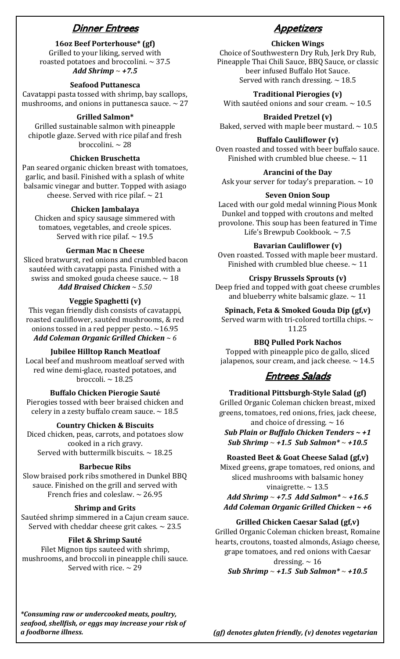# Dinner Entrees

**16oz Beef Porterhouse\* (gf)**

Grilled to your liking, served with roasted potatoes and broccolini.  $\sim$  37.5 *Add Shrimp* **~** *+7.5*

## **Seafood Puttanesca**

Cavatappi pasta tossed with shrimp, bay scallops, mushrooms, and onions in puttanesca sauce.  $\sim$  27

## **Grilled Salmon\***

Grilled sustainable salmon with pineapple chipotle glaze. Served with rice pilaf and fresh broccolini. ~ 28

## **Chicken Bruschetta**

Pan seared organic chicken breast with tomatoes, garlic, and basil. Finished with a splash of white balsamic vinegar and butter. Topped with asiago cheese. Served with rice pilaf.  $\sim$  21

#### **Chicken Jambalaya**

Chicken and spicy sausage simmered with tomatoes, vegetables, and creole spices. Served with rice pilaf.  $\sim$  19.5

#### **German Mac n Cheese**

Sliced bratwurst, red onions and crumbled bacon sautéed with cavatappi pasta. Finished with a swiss and smoked gouda cheese sauce.  $\sim$  18 *Add Braised Chicken ~ 5.50*

### **Veggie Spaghetti (v)**

This vegan friendly dish consists of cavatappi, roasted cauliflower, sautéed mushrooms, & red onions tossed in a red pepper pesto.  $\sim$  16.95 *Add Coleman Organic Grilled Chicken ~ 6*

#### **Jubilee Hilltop Ranch Meatloaf**

Local beef and mushroom meatloaf served with red wine demi-glace, roasted potatoes, and broccoli. ~ 18.25

**Buffalo Chicken Pierogie Sauté**

Pierogies tossed with beer braised chicken and celery in a zesty buffalo cream sauce.  $\sim$  18.5

### **Country Chicken & Biscuits**

Diced chicken, peas, carrots, and potatoes slow cooked in a rich gravy. Served with buttermilk biscuits.  $\sim$  18.25

### **Barbecue Ribs**

Slow braised pork ribs smothered in Dunkel BBQ sauce. Finished on the grill and served with French fries and coleslaw.  $\sim$  26.95

## **Shrimp and Grits**

Sautéed shrimp simmered in a Cajun cream sauce. Served with cheddar cheese grit cakes.  $\sim 23.5$ 

### **Filet & Shrimp Sauté**

Filet Mignon tips sauteed with shrimp, mushrooms, and broccoli in pineapple chili sauce. Served with rice.  $\sim$  29

# **Appetizers**

## **Chicken Wings**

Choice of Southwestern Dry Rub, Jerk Dry Rub, Pineapple Thai Chili Sauce, BBQ Sauce, or classic beer infused Buffalo Hot Sauce. Served with ranch dressing.  $\sim$  18.5

#### **Traditional Pierogies (v)**

With sautéed onions and sour cream.  $\sim 10.5$ 

**Braided Pretzel (v)**

Baked, served with maple beer mustard.  $\sim 10.5$ 

### **Buffalo Cauliflower (v)**

Oven roasted and tossed with beer buffalo sauce. Finished with crumbled blue cheese.  $\sim$  11

## **Arancini of the Day**

Ask your server for today's preparation.  $\sim 10$ 

#### **Seven Onion Soup**

Laced with our gold medal winning Pious Monk Dunkel and topped with croutons and melted provolone. This soup has been featured in Time Life's Brewpub Cookbook. ~ 7.5

#### **Bavarian Cauliflower (v)**

Oven roasted. Tossed with maple beer mustard. Finished with crumbled blue cheese.  $\sim 11$ 

### **Crispy Brussels Sprouts (v)**

Deep fried and topped with goat cheese crumbles and blueberry white balsamic glaze.  $\sim$  11

**Spinach, Feta & Smoked Gouda Dip (gf,v)**

Served warm with tri-colored tortilla chips.  $\sim$ 11.25

#### **BBQ Pulled Pork Nachos**

Topped with pineapple pico de gallo, sliced jalapenos, sour cream, and jack cheese.  $\sim$  14.5

# Entrees Salads

#### **Traditional Pittsburgh-Style Salad (gf)**

Grilled Organic Coleman chicken breast, mixed greens, tomatoes, red onions, fries, jack cheese, and choice of dressing.  $\sim$  16

*Sub Plain or Buffalo Chicken Tenders ~ +1 Sub Shrimp* **~** *+1.5 Sub Salmon\** **~** *+10.5*

#### **Roasted Beet & Goat Cheese Salad (gf,v)**

Mixed greens, grape tomatoes, red onions, and sliced mushrooms with balsamic honey vinaigrette.  $\sim$  13.5 *Add Shrimp* **~** *+7.5 Add Salmon\** **~** *+16.5*

*Add Coleman Organic Grilled Chicken ~ +6*

#### **Grilled Chicken Caesar Salad (gf,v)**

Grilled Organic Coleman chicken breast, Romaine hearts, croutons, toasted almonds, Asiago cheese, grape tomatoes, and red onions with Caesar dressing.  $\sim$  16

*Sub Shrimp* **~** *+1.5 Sub Salmon\** **~** *+10.5*

*\*Consuming raw or undercooked meats, poultry, seafood, shellfish, or eggs may increase your risk of a foodborne illness.*

*(gf) denotes gluten friendly, (v) denotes vegetarian*